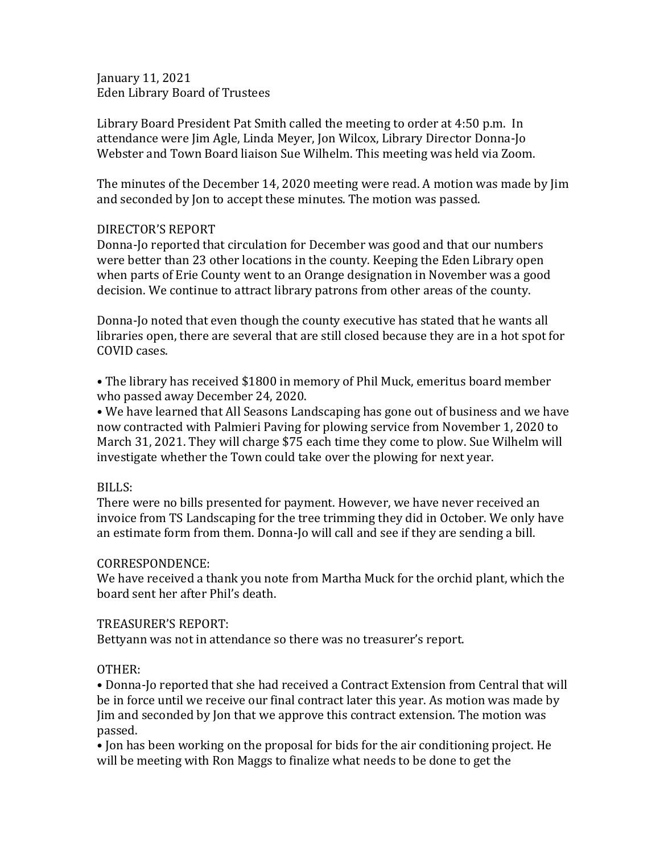January 11, 2021 Eden Library Board of Trustees

Library Board President Pat Smith called the meeting to order at 4:50 p.m. In attendance were Jim Agle, Linda Meyer, Jon Wilcox, Library Director Donna-Jo Webster and Town Board liaison Sue Wilhelm. This meeting was held via Zoom.

The minutes of the December 14, 2020 meeting were read. A motion was made by Jim and seconded by Jon to accept these minutes. The motion was passed.

# DIRECTOR'S REPORT

Donna-Jo reported that circulation for December was good and that our numbers were better than 23 other locations in the county. Keeping the Eden Library open when parts of Erie County went to an Orange designation in November was a good decision. We continue to attract library patrons from other areas of the county.

Donna-Jo noted that even though the county executive has stated that he wants all libraries open, there are several that are still closed because they are in a hot spot for COVID cases.

• The library has received \$1800 in memory of Phil Muck, emeritus board member who passed away December 24, 2020.

• We have learned that All Seasons Landscaping has gone out of business and we have now contracted with Palmieri Paving for plowing service from November 1, 2020 to March 31, 2021. They will charge \$75 each time they come to plow. Sue Wilhelm will investigate whether the Town could take over the plowing for next year.

# BILLS:

There were no bills presented for payment. However, we have never received an invoice from TS Landscaping for the tree trimming they did in October. We only have an estimate form from them. Donna-Jo will call and see if they are sending a bill.

# CORRESPONDENCE:

We have received a thank you note from Martha Muck for the orchid plant, which the board sent her after Phil's death.

# TREASURER'S REPORT:

Bettyann was not in attendance so there was no treasurer's report.

# OTHER:

• Donna-Jo reported that she had received a Contract Extension from Central that will be in force until we receive our final contract later this year. As motion was made by Jim and seconded by Jon that we approve this contract extension. The motion was passed.

• Jon has been working on the proposal for bids for the air conditioning project. He will be meeting with Ron Maggs to finalize what needs to be done to get the